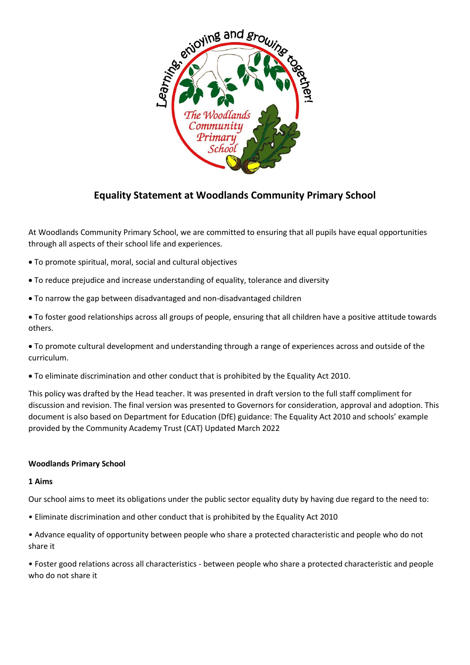

# **Equality Statement at Woodlands Community Primary School**

At Woodlands Community Primary School, we are committed to ensuring that all pupils have equal opportunities through all aspects of their school life and experiences.

- To promote spiritual, moral, social and cultural objectives
- To reduce prejudice and increase understanding of equality, tolerance and diversity
- To narrow the gap between disadvantaged and non-disadvantaged children
- To foster good relationships across all groups of people, ensuring that all children have a positive attitude towards others.
- To promote cultural development and understanding through a range of experiences across and outside of the curriculum.
- To eliminate discrimination and other conduct that is prohibited by the Equality Act 2010.

This policy was drafted by the Head teacher. It was presented in draft version to the full staff compliment for discussion and revision. The final version was presented to Governors for consideration, approval and adoption. This document is also based on Department for Education (DfE) guidance: The Equality Act 2010 and schools' example provided by the Community Academy Trust (CAT) Updated March 2022

#### **Woodlands Primary School**

#### **1 Aims**

Our school aims to meet its obligations under the public sector equality duty by having due regard to the need to:

- Eliminate discrimination and other conduct that is prohibited by the Equality Act 2010
- Advance equality of opportunity between people who share a protected characteristic and people who do not share it

• Foster good relations across all characteristics - between people who share a protected characteristic and people who do not share it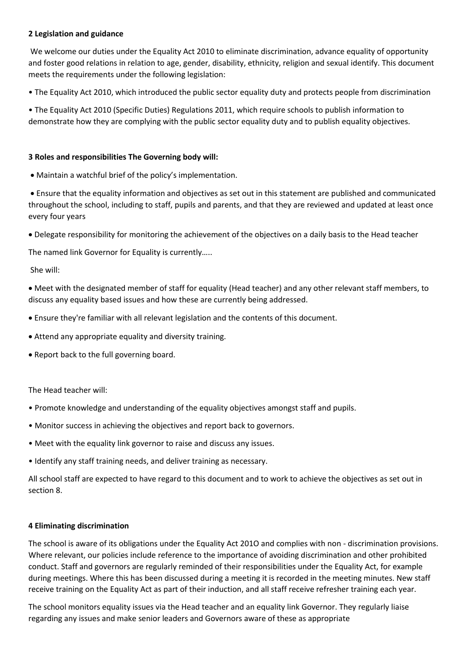## **2 Legislation and guidance**

We welcome our duties under the Equality Act 2010 to eliminate discrimination, advance equality of opportunity and foster good relations in relation to age, gender, disability, ethnicity, religion and sexual identify. This document meets the requirements under the following legislation:

• The Equality Act 2010, which introduced the public sector equality duty and protects people from discrimination

• The Equality Act 2010 (Specific Duties) Regulations 2011, which require schools to publish information to demonstrate how they are complying with the public sector equality duty and to publish equality objectives.

## **3 Roles and responsibilities The Governing body will:**

• Maintain a watchful brief of the policy's implementation.

• Ensure that the equality information and objectives as set out in this statement are published and communicated throughout the school, including to staff, pupils and parents, and that they are reviewed and updated at least once every four years

• Delegate responsibility for monitoring the achievement of the objectives on a daily basis to the Head teacher

The named link Governor for Equality is currently…..

She will:

• Meet with the designated member of staff for equality (Head teacher) and any other relevant staff members, to discuss any equality based issues and how these are currently being addressed.

- Ensure they're familiar with all relevant legislation and the contents of this document.
- Attend any appropriate equality and diversity training.
- Report back to the full governing board.

The Head teacher will:

- Promote knowledge and understanding of the equality objectives amongst staff and pupils.
- Monitor success in achieving the objectives and report back to governors.
- Meet with the equality link governor to raise and discuss any issues.
- Identify any staff training needs, and deliver training as necessary.

All school staff are expected to have regard to this document and to work to achieve the objectives as set out in section 8.

#### **4 Eliminating discrimination**

The school is aware of its obligations under the Equality Act 201O and complies with non - discrimination provisions. Where relevant, our policies include reference to the importance of avoiding discrimination and other prohibited conduct. Staff and governors are regularly reminded of their responsibilities under the Equality Act, for example during meetings. Where this has been discussed during a meeting it is recorded in the meeting minutes. New staff receive training on the Equality Act as part of their induction, and all staff receive refresher training each year.

The school monitors equality issues via the Head teacher and an equality link Governor. They regularly liaise regarding any issues and make senior leaders and Governors aware of these as appropriate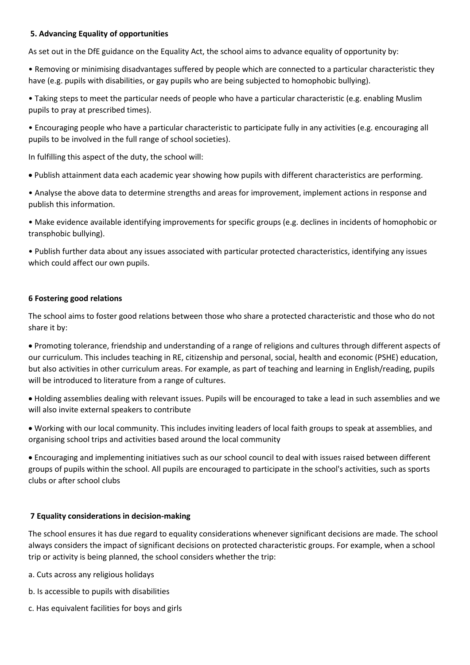## **5. Advancing Equality of opportunities**

As set out in the DfE guidance on the Equality Act, the school aims to advance equality of opportunity by:

• Removing or minimising disadvantages suffered by people which are connected to a particular characteristic they have (e.g. pupils with disabilities, or gay pupils who are being subjected to homophobic bullying).

• Taking steps to meet the particular needs of people who have a particular characteristic (e.g. enabling Muslim pupils to pray at prescribed times).

• Encouraging people who have a particular characteristic to participate fully in any activities (e.g. encouraging all pupils to be involved in the full range of school societies).

In fulfilling this aspect of the duty, the school will:

• Publish attainment data each academic year showing how pupils with different characteristics are performing.

• Analyse the above data to determine strengths and areas for improvement, implement actions in response and publish this information.

• Make evidence available identifying improvements for specific groups (e.g. declines in incidents of homophobic or transphobic bullying).

• Publish further data about any issues associated with particular protected characteristics, identifying any issues which could affect our own pupils.

## **6 Fostering good relations**

The school aims to foster good relations between those who share a protected characteristic and those who do not share it by:

• Promoting tolerance, friendship and understanding of a range of religions and cultures through different aspects of our curriculum. This includes teaching in RE, citizenship and personal, social, health and economic (PSHE) education, but also activities in other curriculum areas. For example, as part of teaching and learning in English/reading, pupils will be introduced to literature from a range of cultures.

• Holding assemblies dealing with relevant issues. Pupils will be encouraged to take a lead in such assemblies and we will also invite external speakers to contribute

• Working with our local community. This includes inviting leaders of local faith groups to speak at assemblies, and organising school trips and activities based around the local community

• Encouraging and implementing initiatives such as our school council to deal with issues raised between different groups of pupils within the school. All pupils are encouraged to participate in the school's activities, such as sports clubs or after school clubs

## **7 Equality considerations in decision-making**

The school ensures it has due regard to equality considerations whenever significant decisions are made. The school always considers the impact of significant decisions on protected characteristic groups. For example, when a school trip or activity is being planned, the school considers whether the trip:

- a. Cuts across any religious holidays
- b. Is accessible to pupils with disabilities
- c. Has equivalent facilities for boys and girls